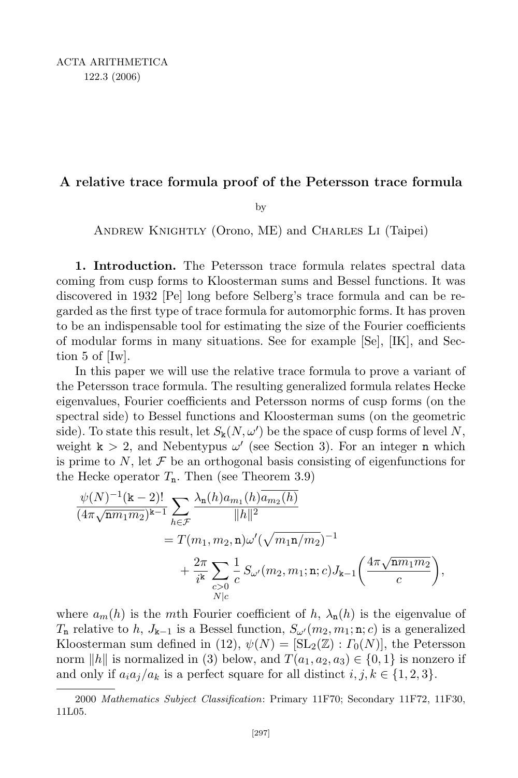## A relative trace formula proof of the Petersson trace formula

by

Andrew Knightly (Orono, ME) and Charles Li (Taipei)

1. Introduction. The Petersson trace formula relates spectral data coming from cusp forms to Kloosterman sums and Bessel functions. It was discovered in 1932 [Pe] long before Selberg's trace formula and can be regarded as the first type of trace formula for automorphic forms. It has proven to be an indispensable tool for estimating the size of the Fourier coefficients of modular forms in many situations. See for example [Se], [IK], and Section 5 of [Iw].

In this paper we will use the relative trace formula to prove a variant of the Petersson trace formula. The resulting generalized formula relates Hecke eigenvalues, Fourier coefficients and Petersson norms of cusp forms (on the spectral side) to Bessel functions and Kloosterman sums (on the geometric side). To state this result, let  $S_k(N, \omega')$  be the space of cusp forms of level N, weight  $k > 2$ , and Nebentypus  $\omega'$  (see Section 3). For an integer n which is prime to N, let  $\mathcal F$  be an orthogonal basis consisting of eigenfunctions for the Hecke operator  $T_n$ . Then (see Theorem 3.9)

$$
\frac{\psi(N)^{-1}(\mathbf{k}-2)!}{(4\pi\sqrt{\mathbf{n}m_1m_2})^{\mathbf{k}-1}}\sum_{h\in\mathcal{F}}\frac{\lambda_{\mathbf{n}}(h)a_{m_1}(h)\overline{a_{m_2}(h)}}{||h||^2} \n= T(m_1, m_2, \mathbf{n})\omega'(\sqrt{m_1\mathbf{n}/m_2})^{-1} \n+ \frac{2\pi}{i^{\mathbf{k}}}\sum_{\substack{c>0\\N|c}}\frac{1}{c}S_{\omega'}(m_2, m_1; \mathbf{n}; c)J_{\mathbf{k}-1}\left(\frac{4\pi\sqrt{\mathbf{n}m_1m_2}}{c}\right),
$$

where  $a_m(h)$  is the mth Fourier coefficient of h,  $\lambda_n(h)$  is the eigenvalue of  $T_n$  relative to h,  $J_{k-1}$  is a Bessel function,  $S_{\omega'}(m_2, m_1; n; c)$  is a generalized Kloosterman sum defined in (12),  $\psi(N) = [\text{SL}_2(\mathbb{Z}) : \Gamma_0(N)]$ , the Petersson norm ||h|| is normalized in (3) below, and  $T(a_1, a_2, a_3) \in \{0, 1\}$  is nonzero if and only if  $a_i a_j/a_k$  is a perfect square for all distinct  $i, j, k \in \{1, 2, 3\}.$ 

<sup>2000</sup> Mathematics Subject Classification: Primary 11F70; Secondary 11F72, 11F30, 11L05.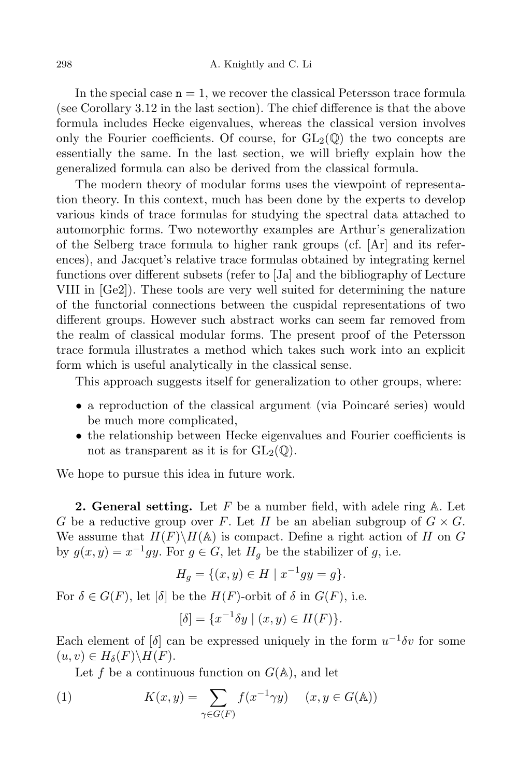In the special case  $n = 1$ , we recover the classical Petersson trace formula (see Corollary 3.12 in the last section). The chief difference is that the above formula includes Hecke eigenvalues, whereas the classical version involves only the Fourier coefficients. Of course, for  $GL_2(\mathbb{Q})$  the two concepts are essentially the same. In the last section, we will briefly explain how the generalized formula can also be derived from the classical formula.

The modern theory of modular forms uses the viewpoint of representation theory. In this context, much has been done by the experts to develop various kinds of trace formulas for studying the spectral data attached to automorphic forms. Two noteworthy examples are Arthur's generalization of the Selberg trace formula to higher rank groups (cf. [Ar] and its references), and Jacquet's relative trace formulas obtained by integrating kernel functions over different subsets (refer to [Ja] and the bibliography of Lecture VIII in [Ge2]). These tools are very well suited for determining the nature of the functorial connections between the cuspidal representations of two different groups. However such abstract works can seem far removed from the realm of classical modular forms. The present proof of the Petersson trace formula illustrates a method which takes such work into an explicit form which is useful analytically in the classical sense.

This approach suggests itself for generalization to other groups, where:

- $\bullet$  a reproduction of the classical argument (via Poincaré series) would be much more complicated,
- the relationship between Hecke eigenvalues and Fourier coefficients is not as transparent as it is for  $GL_2(\mathbb{O})$ .

We hope to pursue this idea in future work.

**2. General setting.** Let  $F$  be a number field, with adele ring  $A$ . Let G be a reductive group over F. Let H be an abelian subgroup of  $G \times G$ . We assume that  $H(F)\backslash H(\mathbb{A})$  is compact. Define a right action of H on G by  $g(x, y) = x^{-1}gy$ . For  $g \in G$ , let  $H_g$  be the stabilizer of g, i.e.

$$
H_g = \{(x, y) \in H \mid x^{-1}gy = g\}.
$$

For  $\delta \in G(F)$ , let  $\delta$  be the  $H(F)$ -orbit of  $\delta$  in  $G(F)$ , i.e.

$$
[\delta] = \{ x^{-1} \delta y \mid (x, y) \in H(F) \}.
$$

Each element of  $\delta$  can be expressed uniquely in the form  $u^{-1}\delta v$  for some  $(u, v) \in H_\delta(F) \backslash H(F).$ 

Let f be a continuous function on  $G(\mathbb{A})$ , and let

(1) 
$$
K(x,y) = \sum_{\gamma \in G(F)} f(x^{-1}\gamma y) \quad (x, y \in G(\mathbb{A}))
$$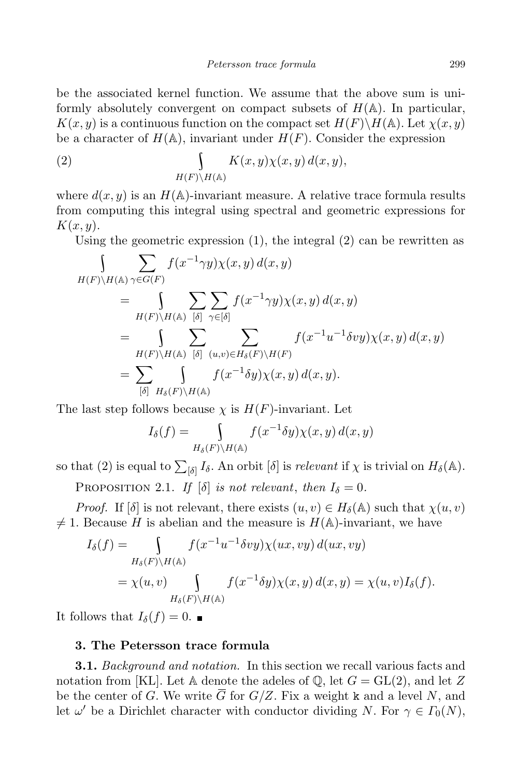be the associated kernel function. We assume that the above sum is uniformly absolutely convergent on compact subsets of  $H(\mathbb{A})$ . In particular,  $K(x, y)$  is a continuous function on the compact set  $H(F)\backslash H(\mathbb{A})$ . Let  $\chi(x, y)$ be a character of  $H(\mathbb{A})$ , invariant under  $H(F)$ . Consider the expression

(2) 
$$
\int_{H(F)\backslash H(\mathbb{A})} K(x,y)\chi(x,y) d(x,y),
$$

where  $d(x, y)$  is an  $H(\mathbb{A})$ -invariant measure. A relative trace formula results from computing this integral using spectral and geometric expressions for  $K(x, y)$ .

Using the geometric expression (1), the integral (2) can be rewritten as

$$
\int_{H(F)\backslash H(\mathbb{A})} \sum_{\gamma \in G(F)} f(x^{-1}\gamma y) \chi(x, y) d(x, y)
$$
\n
$$
= \int_{H(F)\backslash H(\mathbb{A})} \sum_{[\delta]} \sum_{\gamma \in [\delta]} f(x^{-1}\gamma y) \chi(x, y) d(x, y)
$$
\n
$$
= \int_{H(F)\backslash H(\mathbb{A})} \sum_{[\delta]} \sum_{(u, v) \in H_{\delta}(F)\backslash H(F)} f(x^{-1}u^{-1}\delta vy) \chi(x, y) d(x, y)
$$
\n
$$
= \sum_{[\delta]} \int_{H_{\delta}(F)\backslash H(\mathbb{A})} f(x^{-1}\delta y) \chi(x, y) d(x, y).
$$

The last step follows because  $\chi$  is  $H(F)$ -invariant. Let

$$
I_{\delta}(f) = \int_{H_{\delta}(F) \backslash H(\mathbb{A})} f(x^{-1} \delta y) \chi(x, y) d(x, y)
$$

so that (2) is equal to  $\sum_{[\delta]} I_{\delta}$ . An orbit  $[\delta]$  is *relevant* if  $\chi$  is trivial on  $H_{\delta}(\mathbb{A})$ .

PROPOSITION 2.1. If  $[\delta]$  is not relevant, then  $I_{\delta} = 0$ .

*Proof.* If  $[\delta]$  is not relevant, there exists  $(u, v) \in H_{\delta}(\mathbb{A})$  such that  $\chi(u, v)$  $\neq$  1. Because H is abelian and the measure is  $H(\mathbb{A})$ -invariant, we have

$$
I_{\delta}(f) = \int\limits_{H_{\delta}(F)\backslash H(\mathbb{A})} f(x^{-1}u^{-1}\delta vy)\chi(ux, vy) d(ux, vy)
$$
  
=  $\chi(u, v) \int\limits_{H_{\delta}(F)\backslash H(\mathbb{A})} f(x^{-1}\delta y)\chi(x, y) d(x, y) = \chi(u, v)I_{\delta}(f).$ 

It follows that  $I_{\delta}(f) = 0$ .

## 3. The Petersson trace formula

**3.1.** Background and notation. In this section we recall various facts and notation from [KL]. Let A denote the adeles of  $\mathbb{Q}$ , let  $G = GL(2)$ , and let Z be the center of G. We write  $\overline{G}$  for  $G/Z$ . Fix a weight k and a level N, and let  $\omega'$  be a Dirichlet character with conductor dividing N. For  $\gamma \in \Gamma_0(N)$ ,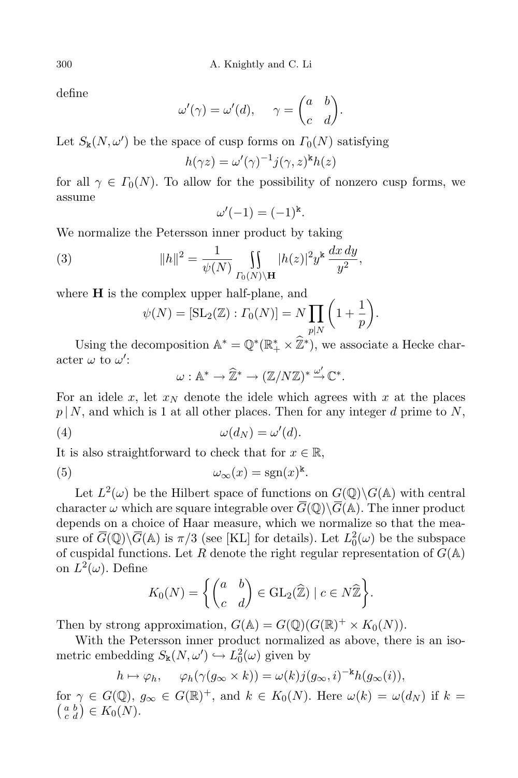define

$$
\omega'(\gamma) = \omega'(d), \quad \gamma = \begin{pmatrix} a & b \\ c & d \end{pmatrix}.
$$

Let  $S_{\mathbf{k}}(N,\omega')$  be the space of cusp forms on  $\Gamma_0(N)$  satisfying

$$
h(\gamma z) = \omega'(\gamma)^{-1} j(\gamma, z)^k h(z)
$$

for all  $\gamma \in \Gamma_0(N)$ . To allow for the possibility of nonzero cusp forms, we assume

$$
\omega'(-1) = (-1)^k.
$$

We normalize the Petersson inner product by taking

(3) 
$$
||h||^{2} = \frac{1}{\psi(N)} \iint_{\Gamma_{0}(N)\backslash H} |h(z)|^{2} y^{k} \frac{dx dy}{y^{2}},
$$

where  $H$  is the complex upper half-plane, and

$$
\psi(N) = [\operatorname{SL}_2(\mathbb{Z}) : \Gamma_0(N)] = N \prod_{p|N} \left(1 + \frac{1}{p}\right).
$$

Using the decomposition  $\mathbb{A}^* = \mathbb{Q}^*(\mathbb{R}_+^* \times \mathbb{Z}^*)$ , we associate a Hecke character  $\omega$  to  $\omega'$ :

$$
\omega: \mathbb{A}^* \to \widehat{\mathbb{Z}}^* \to (\mathbb{Z}/N\mathbb{Z})^* \stackrel{\omega'}{\to} \mathbb{C}^*.
$$

For an idele x, let  $x_N$  denote the idele which agrees with x at the places  $p | N$ , and which is 1 at all other places. Then for any integer d prime to N,

$$
(4) \t\t \t\t \omega(d_N) = \omega'(d).
$$

It is also straightforward to check that for  $x \in \mathbb{R}$ ,

(5) 
$$
\omega_{\infty}(x) = \text{sgn}(x)^{k}.
$$

Let  $L^2(\omega)$  be the Hilbert space of functions on  $G(\mathbb{Q})\backslash G(\mathbb{A})$  with central character  $\omega$  which are square integrable over  $\overline{G}(\mathbb{Q})\backslash\overline{G}(\mathbb{A})$ . The inner product depends on a choice of Haar measure, which we normalize so that the measure of  $\overline{G}(\mathbb{Q})\backslash\overline{G}(\mathbb{A})$  is  $\pi/3$  (see [KL] for details). Let  $L_0^2(\omega)$  be the subspace of cuspidal functions. Let R denote the right regular representation of  $G(\mathbb{A})$ on  $L^2(\omega)$ . Define

$$
K_0(N) = \left\{ \begin{pmatrix} a & b \\ c & d \end{pmatrix} \in \mathrm{GL}_2(\widehat{\mathbb{Z}}) \mid c \in N\widehat{\mathbb{Z}} \right\}.
$$

Then by strong approximation,  $G(\mathbb{A}) = G(\mathbb{Q})(G(\mathbb{R})^+ \times K_0(N)).$ 

With the Petersson inner product normalized as above, there is an isometric embedding  $S_{\mathbf{k}}(N, \omega') \hookrightarrow L_0^2(\omega)$  given by

$$
h \mapsto \varphi_h, \quad \varphi_h(\gamma(g_\infty \times k)) = \omega(k)j(g_\infty, i)^{-k}h(g_\infty(i)),
$$

for  $\gamma \in G(\mathbb{Q})$ ,  $g_{\infty} \in G(\mathbb{R})^+$ , and  $k \in K_0(N)$ . Here  $\omega(k) = \omega(d_N)$  if  $k = (a \cdot b) \in K_0(N)$ .  $\left(\begin{matrix} a & b \\ c & d \end{matrix}\right) \in K_0(N).$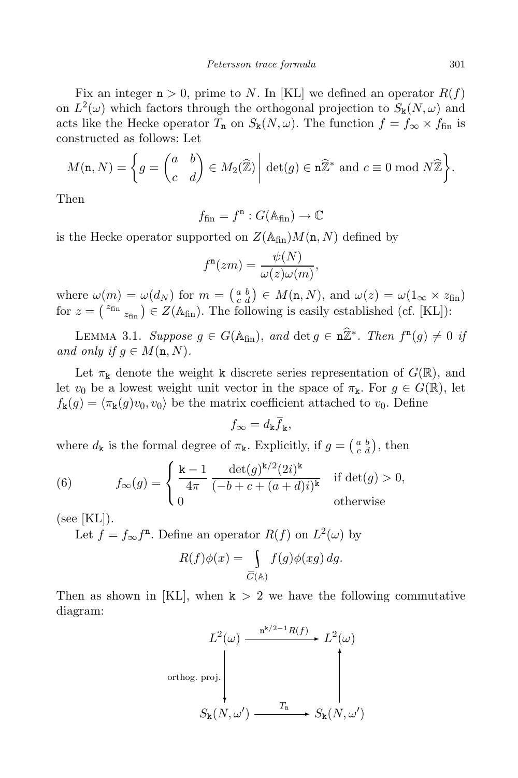Fix an integer  $n > 0$ , prime to N. In [KL] we defined an operator  $R(f)$ on  $L^2(\omega)$  which factors through the orthogonal projection to  $S_k(N, \omega)$  and acts like the Hecke operator  $T_n$  on  $S_k(N, \omega)$ . The function  $f = f_{\infty} \times f_{fin}$  is constructed as follows: Let

$$
M(\mathbf{n}, N) = \left\{ g = \begin{pmatrix} a & b \\ c & d \end{pmatrix} \in M_2(\widehat{\mathbb{Z}}) \middle| \det(g) \in \mathbf{n}\widehat{\mathbb{Z}}^* \text{ and } c \equiv 0 \text{ mod } N\widehat{\mathbb{Z}} \right\}.
$$

Then

$$
f_{\mathrm{fin}}=f^{\mathrm{n}}:G(\mathbb{A}_{\mathrm{fin}})\rightarrow\mathbb{C}
$$

is the Hecke operator supported on  $Z(\mathbb{A}_{fin})M(n, N)$  defined by

$$
f^{\mathbf{n}}(zm) = \frac{\psi(N)}{\omega(z)\omega(m)},
$$

where  $\omega(m) = \omega(d_N)$  for  $m = \begin{pmatrix} a & b \\ c & d \end{pmatrix} \in M(n, N)$ , and  $\omega(z) = \omega(1_{\infty} \times z_{\text{fin}})$ for  $z = {z_{fin}}_{\text{fin}} \in Z(\mathbb{A}_{fin})$ . The following is easily established (cf. [KL]):

LEMMA 3.1. Suppose  $g \in G(\mathbb{A}_{fin})$ , and  $\det g \in \hat{\mathbb{Z}}^*$ . Then  $f^n(g) \neq 0$  if and only if  $q \in M(n, N)$ .

Let  $\pi_{\mathbf{k}}$  denote the weight k discrete series representation of  $G(\mathbb{R})$ , and let  $v_0$  be a lowest weight unit vector in the space of  $\pi_k$ . For  $g \in G(\mathbb{R})$ , let  $f_{\mathbf{k}}(g) = \langle \pi_{\mathbf{k}}(g)v_0, v_0 \rangle$  be the matrix coefficient attached to  $v_0$ . Define

$$
f_{\infty} = d_{\mathbf{k}} \overline{f}_{\mathbf{k}},
$$

where  $d_{\mathbf{k}}$  is the formal degree of  $\pi_{\mathbf{k}}$ . Explicitly, if  $g = \begin{pmatrix} a & b \\ c & d \end{pmatrix}$ , then

(6) 
$$
f_{\infty}(g) = \begin{cases} \frac{\mathbf{k} - 1}{4\pi} \frac{\det(g)^{k/2} (2i)^k}{(-b + c + (a + d)i)^k} & \text{if } \det(g) > 0, \\ 0 & \text{otherwise} \end{cases}
$$

 $(see [KL]).$ 

Let  $f = f_{\infty} f^{n}$ . Define an operator  $R(f)$  on  $L^{2}(\omega)$  by

$$
R(f)\phi(x) = \int\limits_{\overline{G}(\mathbb{A})} f(g)\phi(xg) \, dg.
$$

Then as shown in [KL], when  $k > 2$  we have the following commutative diagram:

$$
L^{2}(\omega) \xrightarrow{\mathbf{n}^{k/2-1}R(f)} L^{2}(\omega)
$$
\northog. proj.  
\n
$$
S_{k}(N, \omega') \xrightarrow{T_{n}} S_{k}(N, \omega')
$$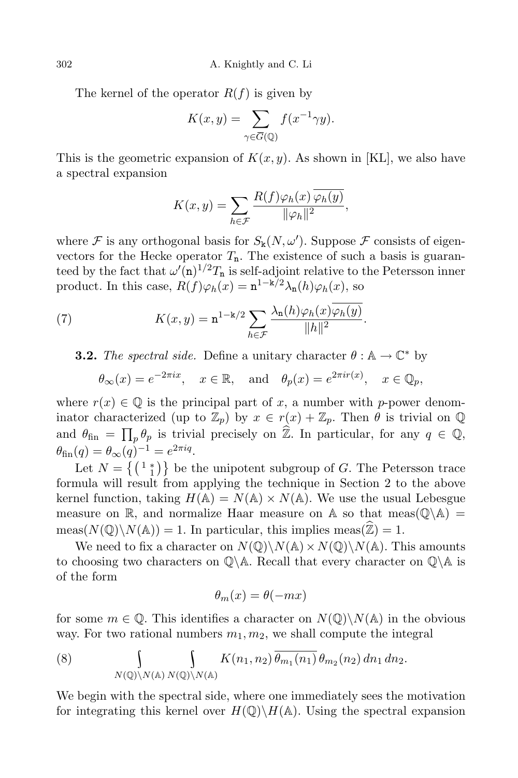302 A. Knightly and C. Li

The kernel of the operator  $R(f)$  is given by

$$
K(x, y) = \sum_{\gamma \in \overline{G}(\mathbb{Q})} f(x^{-1} \gamma y).
$$

This is the geometric expansion of  $K(x, y)$ . As shown in [KL], we also have a spectral expansion

$$
K(x, y) = \sum_{h \in \mathcal{F}} \frac{R(f)\varphi_h(x)\varphi_h(y)}{\|\varphi_h\|^2},
$$

where  $\mathcal F$  is any orthogonal basis for  $S_k(N,\omega')$ . Suppose  $\mathcal F$  consists of eigenvectors for the Hecke operator  $T_n$ . The existence of such a basis is guaranteed by the fact that  $\omega'(\mathbf{n})^{1/2}T_{\mathbf{n}}$  is self-adjoint relative to the Petersson inner product. In this case,  $R(f)\varphi_h(x) = \mathbf{n}^{1-\mathbf{k}/2}\lambda_{\mathbf{n}}(h)\varphi_h(x)$ , so

(7) 
$$
K(x,y) = \mathbf{n}^{1-\mathbf{k}/2} \sum_{h \in \mathcal{F}} \frac{\lambda_{\mathbf{n}}(h)\varphi_h(x)\varphi_h(y)}{\|h\|^2}.
$$

**3.2.** The spectral side. Define a unitary character  $\theta : \mathbb{A} \to \mathbb{C}^*$  by

$$
\theta_{\infty}(x) = e^{-2\pi ix}, \quad x \in \mathbb{R}, \text{ and } \theta_{p}(x) = e^{2\pi ir(x)}, \quad x \in \mathbb{Q}_{p},
$$

where  $r(x) \in \mathbb{Q}$  is the principal part of x, a number with p-power denominator characterized (up to  $\mathbb{Z}_p$ ) by  $x \in r(x) + \mathbb{Z}_p$ . Then  $\theta$  is trivial on  $\mathbb{Q}$ and  $\theta_{fin} = \prod_p \theta_p$  is trivial precisely on  $\hat{\mathbb{Z}}$ . In particular, for any  $q \in \mathbb{Q}$ ,  $\theta_{\text{fin}}(q) = \theta_{\infty}(q)^{-1} = e^{2\pi i q}.$ 

Let  $N = \{ \begin{pmatrix} 1 & * \\ 1 & 1 \end{pmatrix} \}$  be the unipotent subgroup of G. The Petersson trace formula will result from applying the technique in Section 2 to the above kernel function, taking  $H(\mathbb{A}) = N(\mathbb{A}) \times N(\mathbb{A})$ . We use the usual Lebesgue measure on  $\mathbb R$ , and normalize Haar measure on  $\mathbb A$  so that meas( $\mathbb Q\backslash \mathbb A$ ) =  $meas(N(\mathbb{Q})\backslash N(\mathbb{A})) = 1$ . In particular, this implies meas $(\widehat{\mathbb{Z}}) = 1$ .

We need to fix a character on  $N(\mathbb{Q})\backslash N(\mathbb{A})\times N(\mathbb{Q})\backslash N(\mathbb{A})$ . This amounts to choosing two characters on  $\mathbb{Q}\backslash\mathbb{A}$ . Recall that every character on  $\mathbb{Q}\backslash\mathbb{A}$  is of the form

$$
\theta_m(x) = \theta(-mx)
$$

for some  $m \in \mathbb{Q}$ . This identifies a character on  $N(\mathbb{Q})\backslash N(\mathbb{A})$  in the obvious way. For two rational numbers  $m_1, m_2$ , we shall compute the integral

(8) 
$$
\int_{N(\mathbb{Q})\backslash N(\mathbb{A})} \int_{N(\mathbb{Q})\backslash N(\mathbb{A})} K(n_1, n_2) \overline{\theta_{m_1}(n_1)} \theta_{m_2}(n_2) dn_1 dn_2.
$$

We begin with the spectral side, where one immediately sees the motivation for integrating this kernel over  $H(\mathbb{Q})\backslash H(\mathbb{A})$ . Using the spectral expansion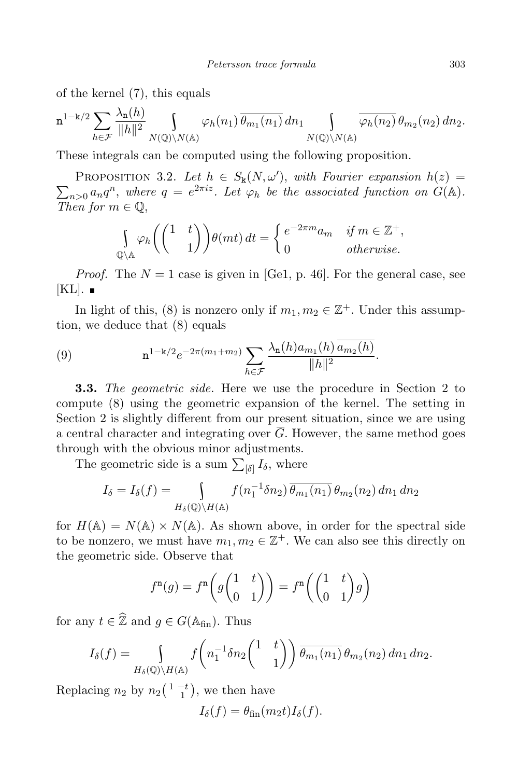of the kernel (7), this equals

$$
\mathbf{n}^{1-k/2} \sum_{h \in \mathcal{F}} \frac{\lambda_{\mathbf{n}}(h)}{\|h\|^2} \int_{N(\mathbb{Q}) \backslash N(\mathbb{A})} \varphi_h(n_1) \overline{\theta_{m_1}(n_1)} \, dn_1 \int_{N(\mathbb{Q}) \backslash N(\mathbb{A})} \overline{\varphi_h(n_2)} \, \theta_{m_2}(n_2) \, dn_2.
$$

These integrals can be computed using the following proposition.

PROPOSITION 3.2. Let  $h \in S_k(N, \omega')$ , with Fourier expansion  $h(z) =$  $\sum_{n>0} a_n q^n$ , where  $q = e^{2\pi i z}$ . Let  $\varphi_h$  be the associated function on  $G(\mathbb{A})$ . Then for  $m \in \mathbb{Q}$ ,

$$
\int_{\mathbb{Q}\backslash\mathbb{A}}\varphi_h\left(\begin{pmatrix}1 & t \\ & 1\end{pmatrix}\right)\theta(mt) dt = \begin{cases} e^{-2\pi m}a_m & \text{if } m \in \mathbb{Z}^+, \\ 0 & \text{otherwise.} \end{cases}
$$

*Proof.* The  $N = 1$  case is given in [Ge1, p. 46]. For the general case, see  $[KL]$ .  $\blacksquare$ 

In light of this, (8) is nonzero only if  $m_1, m_2 \in \mathbb{Z}^+$ . Under this assumption, we deduce that (8) equals

(9) 
$$
\mathbf{n}^{1-\mathbf{k}/2}e^{-2\pi(m_1+m_2)}\sum_{h\in\mathcal{F}}\frac{\lambda_{\mathbf{n}}(h)a_{m_1}(h)a_{m_2}(h)}{\|h\|^2}.
$$

3.3. The geometric side. Here we use the procedure in Section 2 to compute (8) using the geometric expansion of the kernel. The setting in Section 2 is slightly different from our present situation, since we are using a central character and integrating over  $\overline{G}$ . However, the same method goes through with the obvious minor adjustments.

The geometric side is a sum  $\sum_{\lbrack \delta \rbrack} I_{\delta}$ , where

$$
I_{\delta} = I_{\delta}(f) = \int_{H_{\delta}(\mathbb{Q}) \backslash H(\mathbb{A})} f(n_1^{-1} \delta n_2) \overline{\theta_{m_1}(n_1)} \theta_{m_2}(n_2) dn_1 dn_2
$$

for  $H(\mathbb{A}) = N(\mathbb{A}) \times N(\mathbb{A})$ . As shown above, in order for the spectral side to be nonzero, we must have  $m_1, m_2 \in \mathbb{Z}^+$ . We can also see this directly on the geometric side. Observe that

$$
f^{n}(g) = f^{n}\left(g\begin{pmatrix} 1 & t \\ 0 & 1 \end{pmatrix}\right) = f^{n}\left(\begin{pmatrix} 1 & t \\ 0 & 1 \end{pmatrix}g\right)
$$

for any  $t \in \hat{\mathbb{Z}}$  and  $q \in G(\mathbb{A}_{fin})$ . Thus

$$
I_{\delta}(f) = \int_{H_{\delta}(\mathbb{Q}) \backslash H(\mathbb{A})} f\left(n_1^{-1} \delta n_2 \begin{pmatrix} 1 & t \\ & 1 \end{pmatrix}\right) \overline{\theta_{m_1}(n_1)} \theta_{m_2}(n_2) \, dn_1 \, dn_2.
$$

Replacing  $n_2$  by  $n_2\left(\begin{smallmatrix} 1 & -t \\ 1 & 1 \end{smallmatrix}\right)$ , we then have

$$
I_{\delta}(f) = \theta_{\text{fin}}(m_2 t) I_{\delta}(f).
$$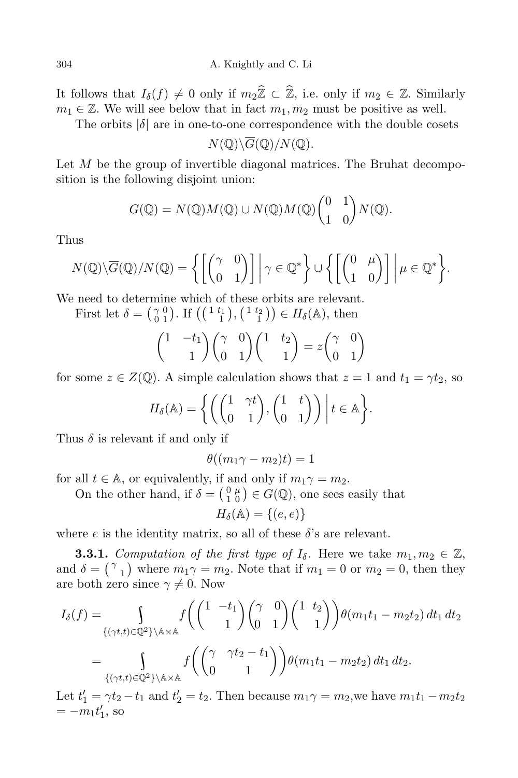It follows that  $I_{\delta}(f) \neq 0$  only if  $m_2\hat{\mathbb{Z}} \subset \hat{\mathbb{Z}}$ , i.e. only if  $m_2 \in \mathbb{Z}$ . Similarly  $m_1 \in \mathbb{Z}$ . We will see below that in fact  $m_1, m_2$  must be positive as well.

The orbits  $\delta$  are in one-to-one correspondence with the double cosets

$$
N(\mathbb{Q})\backslash\overline{G}(\mathbb{Q})/N(\mathbb{Q}).
$$

Let  $M$  be the group of invertible diagonal matrices. The Bruhat decomposition is the following disjoint union:

$$
G(\mathbb{Q}) = N(\mathbb{Q})M(\mathbb{Q}) \cup N(\mathbb{Q})M(\mathbb{Q})\begin{pmatrix} 0 & 1 \\ 1 & 0 \end{pmatrix}N(\mathbb{Q}).
$$

Thus

$$
N(\mathbb{Q})\backslash\overline{G}(\mathbb{Q})/N(\mathbb{Q})=\left\{\left[\begin{pmatrix} \gamma & 0 \\ 0 & 1 \end{pmatrix} \right] \middle| \gamma \in \mathbb{Q}^*\right\}\cup \left\{\left[\begin{pmatrix} 0 & \mu \\ 1 & 0 \end{pmatrix} \right] \middle| \mu \in \mathbb{Q}^*\right\}.
$$

We need to determine which of these orbits are relevant.

First let  $\delta = \begin{pmatrix} 2 & 0 \\ 0 & 1 \end{pmatrix}$  $\begin{pmatrix} \gamma & 0 \\ 0 & 1 \end{pmatrix}$ . If  $\left( \begin{pmatrix} 1 & t_1 \\ 1 & 1 \end{pmatrix}, \begin{pmatrix} 1 & t_2 \\ 1 & 1 \end{pmatrix} \right) \in H_\delta(\mathbb{A})$ , then

$$
\begin{pmatrix} 1 & -t_1 \ 1 & 1 \end{pmatrix} \begin{pmatrix} \gamma & 0 \\ 0 & 1 \end{pmatrix} \begin{pmatrix} 1 & t_2 \\ 1 & 1 \end{pmatrix} = z \begin{pmatrix} \gamma & 0 \\ 0 & 1 \end{pmatrix}
$$

for some  $z \in Z(\mathbb{Q})$ . A simple calculation shows that  $z = 1$  and  $t_1 = \gamma t_2$ , so

$$
H_{\delta}(\mathbb{A}) = \left\{ \left( \begin{pmatrix} 1 & \gamma t \\ 0 & 1 \end{pmatrix}, \begin{pmatrix} 1 & t \\ 0 & 1 \end{pmatrix} \right) \middle| t \in \mathbb{A} \right\}.
$$

Thus  $\delta$  is relevant if and only if

$$
\theta((m_1\gamma - m_2)t) = 1
$$

for all  $t \in \mathbb{A}$ , or equivalently, if and only if  $m_1\gamma = m_2$ .

On the other hand, if  $\delta = \begin{pmatrix} 0 & \mu \\ 1 & 0 \end{pmatrix}$  $\binom{0}{1 \ 0}$   $\in$   $G(\mathbb{Q})$ , one sees easily that

$$
H_{\delta}(\mathbb{A}) = \{(e,e)\}
$$

where e is the identity matrix, so all of these  $\delta$ 's are relevant.

**3.3.1.** Computation of the first type of  $I_{\delta}$ . Here we take  $m_1, m_2 \in \mathbb{Z}$ , and  $\delta = \binom{\gamma}{1}$  where  $m_1\gamma = m_2$ . Note that if  $m_1 = 0$  or  $m_2 = 0$ , then they are both zero since  $\gamma \neq 0$ . Now

$$
I_{\delta}(f) = \int_{\{(\gamma t,t)\in\mathbb{Q}^2\}\backslash\mathbb{A}\times\mathbb{A}} f\left(\binom{1-t_1}{1}\binom{\gamma}{0}\binom{1-t_2}{1}\theta(m_1t_1 - m_2t_2) dt_1 dt_2\right)
$$
  
= 
$$
\int_{\{(\gamma t,t)\in\mathbb{Q}^2\}\backslash\mathbb{A}\times\mathbb{A}} f\left(\binom{\gamma}{0}\frac{\gamma t_2 - t_1}{1}\right) \theta(m_1t_1 - m_2t_2) dt_1 dt_2.
$$

Let  $t_1' = \gamma t_2 - t_1$  and  $t_2' = t_2$ . Then because  $m_1 \gamma = m_2$ , we have  $m_1 t_1 - m_2 t_2$  $=-m_1t'_1$ , so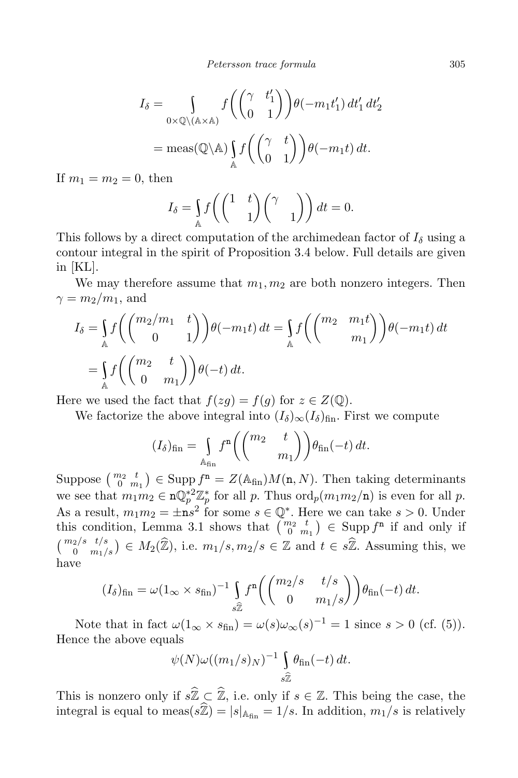$$
I_{\delta} = \int_{0 \times \mathbb{Q} \setminus (\mathbb{A} \times \mathbb{A})} f\left(\begin{pmatrix} \gamma & t_1' \\ 0 & 1 \end{pmatrix}\right) \theta(-m_1 t_1') dt_1' dt_2'
$$
  
= meas( $\mathbb{Q} \setminus \mathbb{A}$ )  $\int_{\mathbb{A}} f\left(\begin{pmatrix} \gamma & t \\ 0 & 1 \end{pmatrix}\right) \theta(-m_1 t) dt$ .

If  $m_1 = m_2 = 0$ , then

$$
I_{\delta} = \int_{\mathbb{A}} f\left(\begin{pmatrix} 1 & t \\ & 1 \end{pmatrix} \begin{pmatrix} \gamma & \\ & 1 \end{pmatrix}\right) dt = 0.
$$

This follows by a direct computation of the archimedean factor of  $I_{\delta}$  using a contour integral in the spirit of Proposition 3.4 below. Full details are given in [KL].

We may therefore assume that  $m_1, m_2$  are both nonzero integers. Then  $\gamma = m_2/m_1$ , and

$$
I_{\delta} = \int_{\mathbb{A}} f\left(\begin{pmatrix} m_2/m_1 & t \\ 0 & 1 \end{pmatrix}\right) \theta(-m_1 t) dt = \int_{\mathbb{A}} f\left(\begin{pmatrix} m_2 & m_1 t \\ m_1 \end{pmatrix}\right) \theta(-m_1 t) dt
$$
  
= 
$$
\int_{\mathbb{A}} f\left(\begin{pmatrix} m_2 & t \\ 0 & m_1 \end{pmatrix}\right) \theta(-t) dt.
$$

Here we used the fact that  $f(zg) = f(g)$  for  $z \in Z(\mathbb{Q})$ .

We factorize the above integral into  $(I_{\delta})_{\infty}(I_{\delta})_{fin}$ . First we compute

$$
(I_{\delta})_{\text{fin}} = \int_{\mathbb{A}_{\text{fin}}} f^{n} \left( \begin{pmatrix} m_{2} & t \\ & m_{1} \end{pmatrix} \right) \theta_{\text{fin}}(-t) dt.
$$

Suppose  $\binom{m_2}{0}$   $\binom{t}{m_1}$   $\in$  Supp  $f^n = Z(\mathbb{A}_{fin})M(n,N)$ . Then taking determinants we see that  $m_1m_2 \in \mathbf{n} \mathbb{Q}_p^{*2} \mathbb{Z}_p^*$  for all p. Thus  $\text{ord}_p(m_1m_2/\mathbf{n})$  is even for all p. As a result,  $m_1m_2 = \pm \mathbf{n}s^2$  for some  $s \in \mathbb{Q}^*$ . Here we can take  $s > 0$ . Under this condition, Lemma 3.1 shows that  $\begin{pmatrix} m_2 & t \\ 0 & m_1 \end{pmatrix} \in \text{Supp } f^n$  if and only if  $\binom{m_2/s \ t/s}{0 \ m_1/s} \in M_2(\widehat{\mathbb{Z}})$ , i.e.  $m_1/s, m_2/s \in \mathbb{Z}$  and  $t \in s\widehat{\mathbb{Z}}$ . Assuming this, we have

$$
(I_{\delta})_{\text{fin}} = \omega (1_{\infty} \times s_{\text{fin}})^{-1} \int_{s\hat{\mathbb{Z}}} f^{n} \left( \begin{pmatrix} m_{2}/s & t/s \\ 0 & m_{1}/s \end{pmatrix} \right) \theta_{\text{fin}}(-t) dt.
$$

Note that in fact  $\omega(1_{\infty} \times s_{\text{fin}}) = \omega(s) \omega_{\infty}(s)^{-1} = 1$  since  $s > 0$  (cf. (5)). Hence the above equals

$$
\psi(N)\omega((m_1/s)_N)^{-1}\int\limits_{s\hat{\mathbb{Z}}} \theta_{\text{fin}}(-t)\,dt.
$$

This is nonzero only if  $s\widehat{\mathbb{Z}} \subset \widehat{\mathbb{Z}}$ , i.e. only if  $s \in \mathbb{Z}$ . This being the case, the integral is equal to meas( $s\hat{\mathbb{Z}}$ ) =  $|s|_{A_{fin}} = 1/s$ . In addition,  $m_1/s$  is relatively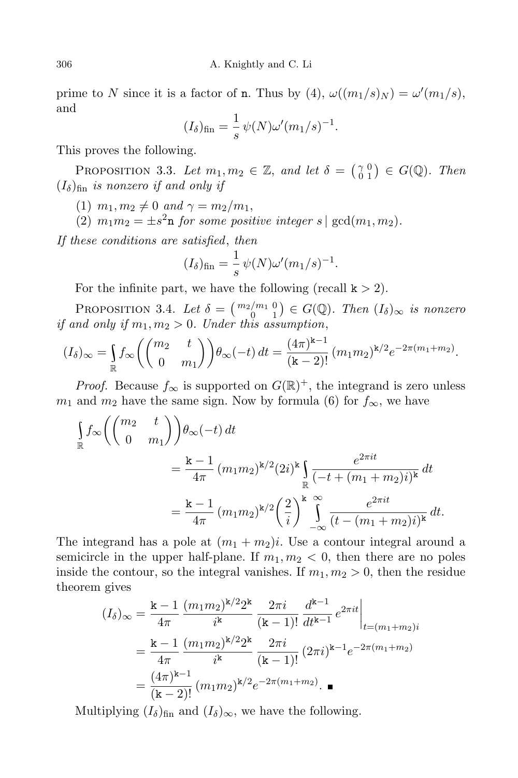prime to N since it is a factor of **n**. Thus by  $(4)$ ,  $\omega((m_1/s)_N) = \omega'(m_1/s)$ , and

$$
(I_{\delta})_{\text{fin}} = \frac{1}{s} \psi(N) \omega'(m_1/s)^{-1}.
$$

This proves the following.

PROPOSITION 3.3. Let  $m_1, m_2 \in \mathbb{Z}$ , and let  $\delta = \begin{pmatrix} \gamma & 0 \\ 0 & 1 \end{pmatrix}$  $\begin{array}{c} \gamma & 0 \\ 0 & 1 \end{array}$   $\in G(\mathbb{Q})$ . Then  $(I_{\delta})_{\text{fin}}$  is nonzero if and only if

(1)  $m_1, m_2 \neq 0$  and  $\gamma = m_2/m_1$ ,

(2)  $m_1m_2 = \pm s^2$ **n** for some positive integer  $s \mid \gcd(m_1, m_2)$ .

If these conditions are satisfied, then

$$
(I_{\delta})_{\text{fin}} = \frac{1}{s} \psi(N) \omega'(m_1/s)^{-1}.
$$

For the infinite part, we have the following (recall  $k > 2$ ).

**PROPOSITION** 3.4. Let  $\delta = \begin{pmatrix} m_2/m_1 & 0 \\ 0 & 1 \end{pmatrix} \in G(\mathbb{Q})$ . Then  $(I_{\delta})_{\infty}$  is nonzero if and only if  $m_1, m_2 > 0$ . Under this assumption,

$$
(I_{\delta})_{\infty} = \int_{\mathbb{R}} f_{\infty} \left( \begin{pmatrix} m_2 & t \\ 0 & m_1 \end{pmatrix} \right) \theta_{\infty}(-t) dt = \frac{(4\pi)^{k-1}}{(k-2)!} (m_1 m_2)^{k/2} e^{-2\pi (m_1 + m_2)}.
$$

*Proof.* Because  $f_{\infty}$  is supported on  $G(\mathbb{R})^+$ , the integrand is zero unless  $m_1$  and  $m_2$  have the same sign. Now by formula (6) for  $f_{\infty}$ , we have

$$
\int_{\mathbb{R}} f_{\infty} \left( \begin{pmatrix} m_2 & t \\ 0 & m_1 \end{pmatrix} \right) \theta_{\infty}(-t) dt
$$
\n
$$
= \frac{\mathbf{k} - 1}{4\pi} (m_1 m_2)^{k/2} (2i)^k \int_{\mathbb{R}} \frac{e^{2\pi i t}}{(-t + (m_1 + m_2)i)^k} dt
$$
\n
$$
= \frac{\mathbf{k} - 1}{4\pi} (m_1 m_2)^{k/2} \left( \frac{2}{i} \right)^k \int_{-\infty}^{\infty} \frac{e^{2\pi i t}}{(t - (m_1 + m_2)i)^k} dt.
$$

The integrand has a pole at  $(m_1 + m_2)i$ . Use a contour integral around a semicircle in the upper half-plane. If  $m_1, m_2 < 0$ , then there are no poles inside the contour, so the integral vanishes. If  $m_1, m_2 > 0$ , then the residue theorem gives

$$
(I_{\delta})_{\infty} = \frac{\mathbf{k} - 1}{4\pi} \frac{(m_1 m_2)^{\mathbf{k}/2} 2^{\mathbf{k}}}{i^{\mathbf{k}}} \frac{2\pi i}{(\mathbf{k} - 1)!} \frac{d^{\mathbf{k} - 1}}{dt^{\mathbf{k} - 1}} e^{2\pi i t} \Big|_{t = (m_1 + m_2)i}
$$
  
=  $\frac{\mathbf{k} - 1}{4\pi} \frac{(m_1 m_2)^{\mathbf{k}/2} 2^{\mathbf{k}}}{i^{\mathbf{k}}} \frac{2\pi i}{(\mathbf{k} - 1)!} (2\pi i)^{\mathbf{k} - 1} e^{-2\pi (m_1 + m_2)}$   
=  $\frac{(4\pi)^{\mathbf{k} - 1}}{(\mathbf{k} - 2)!} (m_1 m_2)^{\mathbf{k}/2} e^{-2\pi (m_1 + m_2)}$ .

Multiplying  $(I_\delta)_{fin}$  and  $(I_\delta)_{\infty}$ , we have the following.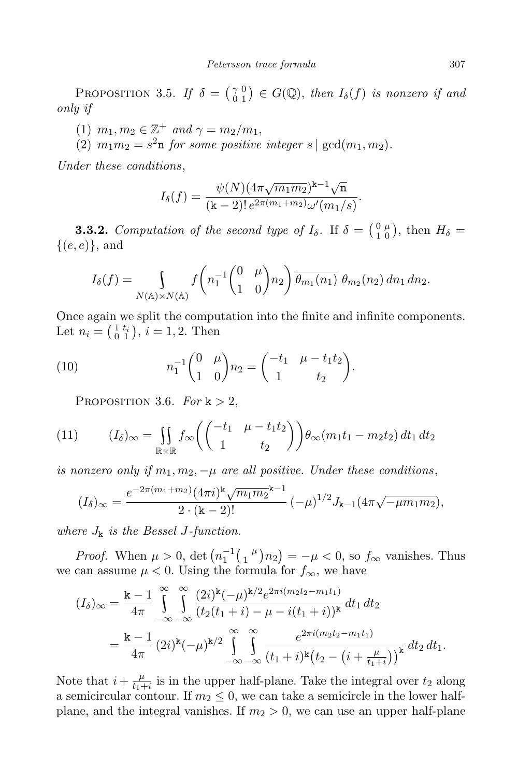PROPOSITION 3.5. If  $\delta = \begin{pmatrix} 2 & 0 \\ 0 & 1 \end{pmatrix}$  $\begin{bmatrix} \gamma & 0 \\ 0 & 1 \end{bmatrix} \in G(\mathbb{Q}), \text{ then } I_{\delta}(f) \text{ is nonzero if and}$ only if

(1)  $m_1, m_2 \in \mathbb{Z}^+$  and  $\gamma = m_2/m_1$ ,

(2)  $m_1m_2 = s^2$ **n** for some positive integer  $s \mid \gcd(m_1, m_2)$ .

Under these conditions,

$$
I_{\delta}(f) = \frac{\psi(N)(4\pi\sqrt{m_1m_2})^{k-1}\sqrt{n}}{(k-2)! e^{2\pi(m_1+m_2)}\omega'(m_1/s)}.
$$

**3.3.2.** Computation of the second type of  $I_{\delta}$ . If  $\delta = \begin{pmatrix} 0 & \mu \\ 1 & 0 \end{pmatrix}$  $\binom{0 \ \mu}{1 \ 0}$ , then  $H_{\delta} =$  $\{(e,e)\}\text{, and}$ 

$$
I_{\delta}(f) = \int_{N(\mathbb{A}) \times N(\mathbb{A})} f\left(n_1^{-1} \begin{pmatrix} 0 & \mu \\ 1 & 0 \end{pmatrix} n_2\right) \overline{\theta_{m_1}(n_1)} \ \theta_{m_2}(n_2) \ dn_1 \ dn_2.
$$

Once again we split the computation into the finite and infinite components. Let  $n_i = \begin{pmatrix} 1 & t_i \\ 0 & 1 \end{pmatrix}$ ,  $i = 1, 2$ . Then

(10) 
$$
n_1^{-1} \begin{pmatrix} 0 & \mu \\ 1 & 0 \end{pmatrix} n_2 = \begin{pmatrix} -t_1 & \mu - t_1 t_2 \\ 1 & t_2 \end{pmatrix}.
$$

PROPOSITION 3.6. For  $k > 2$ ,

(11) 
$$
(I_{\delta})_{\infty} = \iint_{\mathbb{R} \times \mathbb{R}} f_{\infty} \left( \begin{pmatrix} -t_1 & \mu - t_1 t_2 \\ 1 & t_2 \end{pmatrix} \right) \theta_{\infty} (m_1 t_1 - m_2 t_2) dt_1 dt_2
$$

is nonzero only if  $m_1, m_2, -\mu$  are all positive. Under these conditions,

$$
(I_{\delta})_{\infty} = \frac{e^{-2\pi(m_1+m_2)}(4\pi i)^{\mathbf{k}}\sqrt{m_1m_2}^{\mathbf{k}-1}}{2\cdot(\mathbf{k}-2)!}(-\mu)^{1/2}J_{\mathbf{k}-1}(4\pi\sqrt{-\mu m_1m_2}),
$$

where  $J_k$  is the Bessel J-function.

*Proof.* When  $\mu > 0$ , det  $\left( n_1^{-1} \left( \frac{1}{n} \right) n_2 \right) = -\mu < 0$ , so  $f_{\infty}$  vanishes. Thus we can assume  $\mu < 0$ . Using the formula for  $f_{\infty}$ , we have

$$
(I_{\delta})_{\infty} = \frac{\mathbf{k} - 1}{4\pi} \int_{-\infty}^{\infty} \int_{-\infty}^{\infty} \frac{(2i)^{\mathbf{k}} (-\mu)^{\mathbf{k}/2} e^{2\pi i (m_2 t_2 - m_1 t_1)}}{(t_2(t_1 + i) - \mu - i(t_1 + i))^{\mathbf{k}}} dt_1 dt_2
$$
  
= 
$$
\frac{\mathbf{k} - 1}{4\pi} (2i)^{\mathbf{k}} (-\mu)^{\mathbf{k}/2} \int_{-\infty}^{\infty} \int_{-\infty}^{\infty} \frac{e^{2\pi i (m_2 t_2 - m_1 t_1)}}{(t_1 + i)^{\mathbf{k}} (t_2 - (i + \frac{\mu}{t_1 + i}))^{\mathbf{k}}} dt_2 dt_1.
$$

Note that  $i + \frac{\mu}{t+1}$  $\frac{\mu}{t_1+i}$  is in the upper half-plane. Take the integral over  $t_2$  along a semicircular contour. If  $m_2 \leq 0$ , we can take a semicircle in the lower halfplane, and the integral vanishes. If  $m_2 > 0$ , we can use an upper half-plane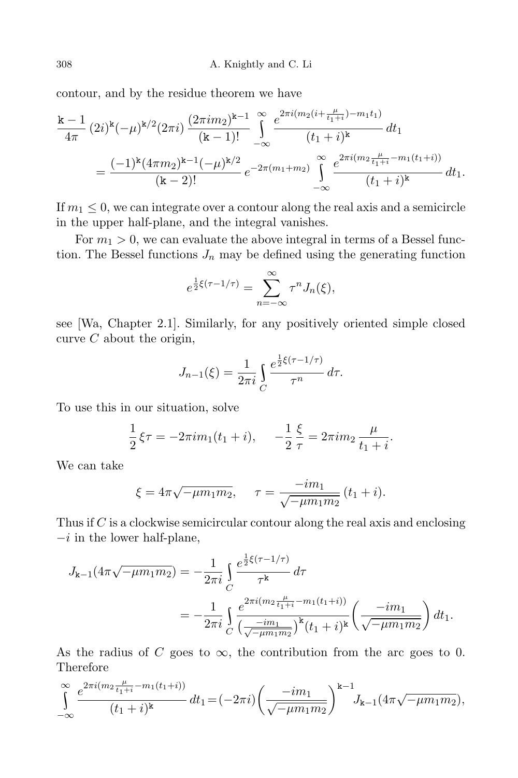contour, and by the residue theorem we have

$$
\frac{k-1}{4\pi} (2i)^{k} (-\mu)^{k/2} (2\pi i) \frac{(2\pi i m_2)^{k-1}}{(k-1)!} \int_{-\infty}^{\infty} \frac{e^{2\pi i (m_2(i+\frac{\mu}{t_1+i}) - m_1 t_1)}}{(t_1+i)^{k}} dt_1
$$
  
= 
$$
\frac{(-1)^{k} (4\pi m_2)^{k-1} (-\mu)^{k/2}}{(k-2)!} e^{-2\pi (m_1+m_2)} \int_{-\infty}^{\infty} \frac{e^{2\pi i (m_2 \frac{\mu}{t_1+i} - m_1(t_1+i))}}{(t_1+i)^{k}} dt_1.
$$

If  $m_1 < 0$ , we can integrate over a contour along the real axis and a semicircle in the upper half-plane, and the integral vanishes.

For  $m_1 > 0$ , we can evaluate the above integral in terms of a Bessel function. The Bessel functions  $J_n$  may be defined using the generating function

$$
e^{\frac{1}{2}\xi(\tau-1/\tau)} = \sum_{n=-\infty}^{\infty} \tau^n J_n(\xi),
$$

see [Wa, Chapter 2.1]. Similarly, for any positively oriented simple closed curve  $C$  about the origin,

$$
J_{n-1}(\xi) = \frac{1}{2\pi i} \int_C \frac{e^{\frac{1}{2}\xi(\tau - 1/\tau)}}{\tau^n} d\tau.
$$

To use this in our situation, solve

$$
\frac{1}{2}\xi\tau = -2\pi im_1(t_1+i), \quad -\frac{1}{2}\frac{\xi}{\tau} = 2\pi im_2\frac{\mu}{t_1+i}.
$$

We can take

$$
\xi = 4\pi \sqrt{-\mu m_1 m_2}, \quad \tau = \frac{-i m_1}{\sqrt{-\mu m_1 m_2}} (t_1 + i).
$$

Thus if  $C$  is a clockwise semicircular contour along the real axis and enclosing  $-i$  in the lower half-plane,

$$
J_{\mathbf{k}-1}(4\pi\sqrt{-\mu m_1 m_2}) = -\frac{1}{2\pi i} \int_C \frac{e^{\frac{1}{2}\xi(\tau - 1/\tau)}}{\tau^{\mathbf{k}}} d\tau
$$
  
= 
$$
-\frac{1}{2\pi i} \int_C \frac{e^{2\pi i (m_2 \frac{\mu}{t_1 + i} - m_1(t_1 + i))}}{\left(\frac{-im_1}{\sqrt{-\mu m_1 m_2}}\right)^{\mathbf{k}} (t_1 + i)^{\mathbf{k}}} \left(\frac{-im_1}{\sqrt{-\mu m_1 m_2}}\right) dt_1.
$$

As the radius of C goes to  $\infty$ , the contribution from the arc goes to 0. Therefore

$$
\int_{-\infty}^{\infty} \frac{e^{2\pi i (m_2 \frac{\mu}{t_1+i} - m_1(t_1+i))}}{(t_1+i)^k} dt_1 = (-2\pi i) \left( \frac{-im_1}{\sqrt{-\mu m_1 m_2}} \right)^{k-1} J_{k-1}(4\pi \sqrt{-\mu m_1 m_2}),
$$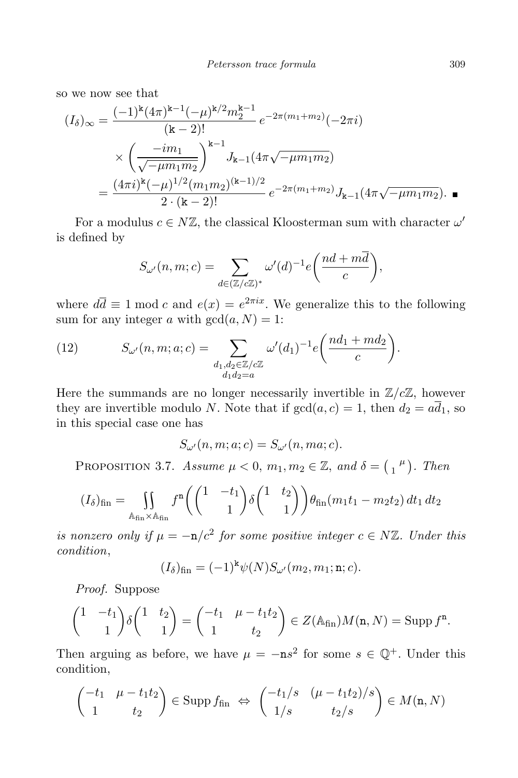so we now see that

$$
(I_{\delta})_{\infty} = \frac{(-1)^{k} (4\pi)^{k-1} (-\mu)^{k/2} m_{2}^{k-1}}{(k-2)!} e^{-2\pi (m_{1}+m_{2})} (-2\pi i)
$$

$$
\times \left(\frac{-im_{1}}{\sqrt{-\mu m_{1}m_{2}}}\right)^{k-1} J_{k-1} (4\pi \sqrt{-\mu m_{1}m_{2}})
$$

$$
= \frac{(4\pi i)^{k} (-\mu)^{1/2} (m_{1}m_{2})^{(k-1)/2}}{2 \cdot (k-2)!} e^{-2\pi (m_{1}+m_{2})} J_{k-1} (4\pi \sqrt{-\mu m_{1}m_{2}}). \blacksquare
$$

For a modulus  $c \in N\mathbb{Z}$ , the classical Kloosterman sum with character  $\omega'$ is defined by

$$
S_{\omega'}(n,m;c) = \sum_{d \in (\mathbb{Z}/c\mathbb{Z})^*} \omega'(d)^{-1} e\left(\frac{nd+m\overline{d}}{c}\right),\,
$$

where  $d\overline{d} \equiv 1 \mod c$  and  $e(x) = e^{2\pi ix}$ . We generalize this to the following sum for any integer a with  $gcd(a, N) = 1$ :

(12) 
$$
S_{\omega'}(n,m;a;c) = \sum_{\substack{d_1,d_2 \in \mathbb{Z}/c\mathbb{Z} \\ d_1d_2 = a}} \omega'(d_1)^{-1} e\left(\frac{nd_1 + md_2}{c}\right).
$$

Here the summands are no longer necessarily invertible in  $\mathbb{Z}/c\mathbb{Z}$ , however they are invertible modulo N. Note that if  $gcd(a, c) = 1$ , then  $d_2 = a\overline{d_1}$ , so in this special case one has

 $S_{\omega'}(n,m;a;c) = S_{\omega'}(n,ma;c).$ 

PROPOSITION 3.7. Assume  $\mu < 0$ ,  $m_1, m_2 \in \mathbb{Z}$ , and  $\delta = \begin{pmatrix} 1 \\ 1 \end{pmatrix}$ . Then

$$
(I_{\delta})_{\text{fin}} = \iint_{\mathbb{A}_{\text{fin}} \times \mathbb{A}_{\text{fin}}} f^{n} \left( \begin{pmatrix} 1 & -t_{1} \\ & 1 \end{pmatrix} \delta \begin{pmatrix} 1 & t_{2} \\ & 1 \end{pmatrix} \right) \theta_{\text{fin}}(m_{1}t_{1} - m_{2}t_{2}) dt_{1} dt_{2}
$$

is nonzero only if  $\mu = -n/c^2$  for some positive integer  $c \in N\mathbb{Z}$ . Under this condition,

$$
(I_{\delta})fin = (-1)k\psi(N)S_{\omega'}(m_2, m_1; \mathbf{n}; c).
$$

Proof. Suppose

$$
\begin{pmatrix} 1 & -t_1 \ 1 & 0 \end{pmatrix} \delta \begin{pmatrix} 1 & t_2 \ 1 & 1 \end{pmatrix} = \begin{pmatrix} -t_1 & \mu - t_1 t_2 \ 1 & t_2 \end{pmatrix} \in Z(\mathbb{A}_{fin})M(\mathbf{n}, N) = \text{Supp } f^{\mathbf{n}}.
$$

Then arguing as before, we have  $\mu = -\mathbf{n}s^2$  for some  $s \in \mathbb{Q}^+$ . Under this condition,

$$
\begin{pmatrix} -t_1 & \mu - t_1 t_2 \\ 1 & t_2 \end{pmatrix} \in \text{Supp } f_{\text{fin}} \Leftrightarrow \begin{pmatrix} -t_1/s & (\mu - t_1 t_2)/s \\ 1/s & t_2/s \end{pmatrix} \in M(\mathbf{n}, N)
$$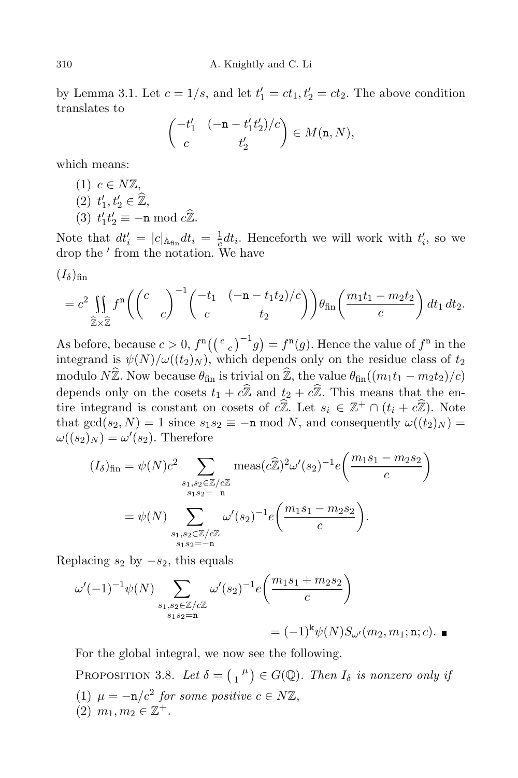by Lemma 3.1. Let  $c = 1/s$ , and let  $t'_1 = ct_1, t'_2 = ct_2$ . The above condition translates to

$$
\begin{pmatrix} -t_1' & (-\mathbf{n} - t_1' t_2')/c \\ c & t_2' \end{pmatrix} \in M(\mathbf{n}, N),
$$

which means:

(1)  $c \in N\mathbb{Z}$ , (2)  $t'_1, t'_2 \in \mathbb{Z},$ 1 (3)  $t'_1 t'_2 \equiv -\mathbf{n} \bmod c \widehat{\mathbb{Z}}$ .

Note that  $dt'_i = |c|_{\mathbb{A}_{fin}} dt_i = \frac{1}{c}$  $\frac{1}{c}dt_i$ . Henceforth we will work with  $t'_i$ , so we drop the ′ from the notation. We have

$$
(I_\delta)_{\rm fin}
$$

$$
=c^2\iint\limits_{\widehat{\mathbb{Z}}\times\widehat{\mathbb{Z}}}f^{n}\left(\begin{pmatrix}c\\&c\end{pmatrix}^{-1}\begin{pmatrix}-t_{1}&(-n-t_{1}t_{2})/c\\c&t_{2}\end{pmatrix}\right)\theta_{fin}\left(\frac{m_{1}t_{1}-m_{2}t_{2}}{c}\right)dt_{1}dt_{2}.
$$

As before, because  $c > 0$ ,  $f^{n}((c_{c})^{-1}g) = f^{n}(g)$ . Hence the value of  $f^{n}$  in the integrand is  $\psi(N)/\omega((t_2)_N)$ , which depends only on the residue class of  $t_2$ modulo  $N\hat{\mathbb{Z}}$ . Now because  $\theta_{fin}$  is trivial on  $\hat{\mathbb{Z}}$ , the value  $\theta_{fin}((m_1t_1 - m_2t_2)/c)$ depends only on the cosets  $t_1 + c\hat{\mathbb{Z}}$  and  $t_2 + c\hat{\mathbb{Z}}$ . This means that the entire integrand is constant on cosets of  $c\mathbb{Z}$ . Let  $s_i \in \mathbb{Z}^+ \cap (t_i + c\mathbb{Z})$ . Note that  $gcd(s_2, N) = 1$  since  $s_1 s_2 \equiv -n \mod N$ , and consequently  $\omega((t_2)_N) =$  $\omega((s_2)_N) = \omega'(s_2)$ . Therefore

$$
(I_{\delta})_{\text{fin}} = \psi(N)c^{2} \sum_{\substack{s_{1}, s_{2} \in \mathbb{Z}/c\mathbb{Z} \\ s_{1} s_{2} = -n}} \text{meas}(\hat{c}\hat{\mathbb{Z}})^{2} \omega'(s_{2})^{-1} e\left(\frac{m_{1} s_{1} - m_{2} s_{2}}{c}\right)
$$

$$
= \psi(N) \sum_{\substack{s_{1}, s_{2} \in \mathbb{Z}/c\mathbb{Z} \\ s_{1} s_{2} = -n}} \omega'(s_{2})^{-1} e\left(\frac{m_{1} s_{1} - m_{2} s_{2}}{c}\right).
$$

Replacing  $s_2$  by  $-s_2$ , this equals

$$
\omega'(-1)^{-1}\psi(N)\sum_{\substack{s_1,s_2\in\mathbb{Z}/c\mathbb{Z}\\s_1s_2=n}}\omega'(s_2)^{-1}e\left(\frac{m_1s_1+m_2s_2}{c}\right)
$$
  
=  $(-1)^{k}\psi(N)S_{\omega'}(m_2,m_1;{\bf n};c).$ 

For the global integral, we now see the following.

PROPOSITION 3.8. Let  $\delta = \begin{pmatrix} 1 \\ 1 \end{pmatrix} \in G(\mathbb{Q})$ . Then  $I_{\delta}$  is nonzero only if (1)  $\mu = -\mathbf{n}/c^2$  for some positive  $c \in N\mathbb{Z}$ , (2)  $m_1, m_2 \in \mathbb{Z}^+$ .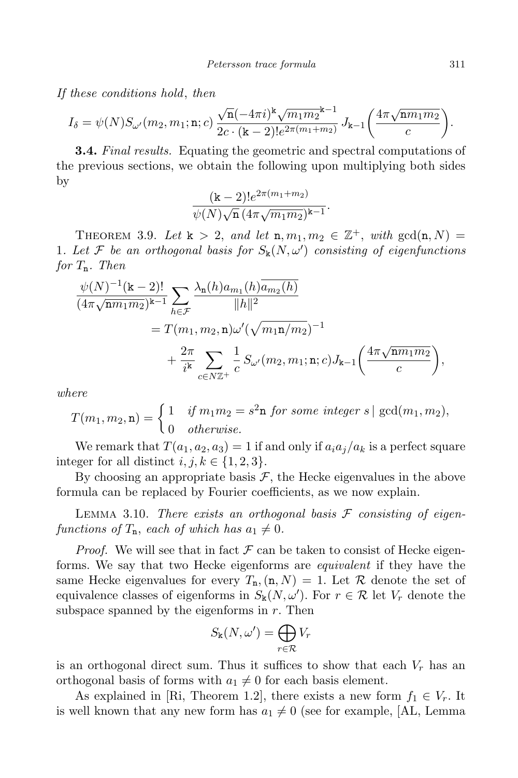If these conditions hold, then

$$
I_{\delta} = \psi(N)S_{\omega'}(m_2, m_1; \mathbf{n}; c) \frac{\sqrt{\mathbf{n}}(-4\pi i)^{\mathbf{k}}\sqrt{m_1m_2}^{\mathbf{k}-1}}{2c \cdot (\mathbf{k}-2)!e^{2\pi(m_1+m_2)}} \, J_{\mathbf{k}-1}\bigg(\frac{4\pi\sqrt{\mathbf{n} m_1m_2}}{c}\bigg).
$$

**3.4.** Final results. Equating the geometric and spectral computations of the previous sections, we obtain the following upon multiplying both sides by

$$
\frac{(k-2)!e^{2\pi(m_1+m_2)}}{\psi(N)\sqrt{n}\,(4\pi\sqrt{m_1m_2})^{k-1}}.
$$

THEOREM 3.9. Let  $k > 2$ , and let  $n, m_1, m_2 \in \mathbb{Z}^+$ , with  $gcd(n, N) =$ 1. Let F be an orthogonal basis for  $S_k(N,\omega')$  consisting of eigenfunctions for  $T_n$ . Then

$$
\frac{\psi(N)^{-1}(\mathbf{k}-2)!}{(4\pi\sqrt{\mathbf{n}m_1m_2})^{\mathbf{k}-1}}\sum_{h\in\mathcal{F}}\frac{\lambda_{\mathbf{n}}(h)a_{m_1}(h)\overline{a_{m_2}(h)}}{||h||^2} \n= T(m_1, m_2, \mathbf{n})\omega'(\sqrt{m_1\mathbf{n}/m_2})^{-1} \n+ \frac{2\pi}{i^{\mathbf{k}}}\sum_{c\in N\mathbb{Z}^+}\frac{1}{c}S_{\omega'}(m_2, m_1; \mathbf{n}; c)J_{\mathbf{k}-1}\left(\frac{4\pi\sqrt{\mathbf{n}m_1m_2}}{c}\right),
$$

where

$$
T(m_1, m_2, \mathbf{n}) = \begin{cases} 1 & \text{if } m_1 m_2 = s^2 \mathbf{n} \text{ for some integer } s \mid \gcd(m_1, m_2), \\ 0 & \text{otherwise.} \end{cases}
$$

We remark that  $T(a_1, a_2, a_3) = 1$  if and only if  $a_i a_j/a_k$  is a perfect square integer for all distinct  $i, j, k \in \{1, 2, 3\}.$ 

By choosing an appropriate basis  $\mathcal{F}$ , the Hecke eigenvalues in the above formula can be replaced by Fourier coefficients, as we now explain.

LEMMA 3.10. There exists an orthogonal basis  $\mathcal F$  consisting of eigenfunctions of  $T_n$ , each of which has  $a_1 \neq 0$ .

*Proof.* We will see that in fact  $\mathcal F$  can be taken to consist of Hecke eigenforms. We say that two Hecke eigenforms are equivalent if they have the same Hecke eigenvalues for every  $T_n$ ,  $(n, N) = 1$ . Let R denote the set of equivalence classes of eigenforms in  $S_{\mathbf{k}}(N,\omega')$ . For  $r \in \mathcal{R}$  let  $V_r$  denote the subspace spanned by the eigenforms in  $r$ . Then

$$
S_{\mathbf{k}}(N,\omega') = \bigoplus_{r \in \mathcal{R}} V_r
$$

is an orthogonal direct sum. Thus it suffices to show that each  $V_r$  has an orthogonal basis of forms with  $a_1 \neq 0$  for each basis element.

As explained in [Ri, Theorem 1.2], there exists a new form  $f_1 \in V_r$ . It is well known that any new form has  $a_1 \neq 0$  (see for example, [AL, Lemma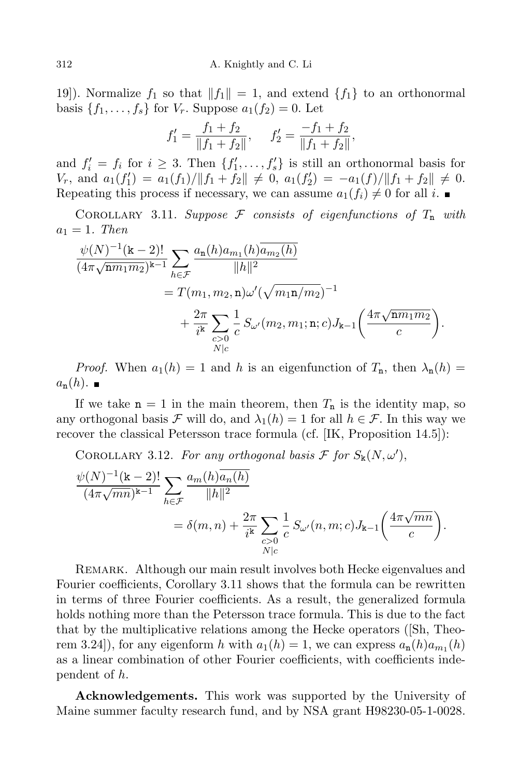19]). Normalize  $f_1$  so that  $||f_1|| = 1$ , and extend  $\{f_1\}$  to an orthonormal basis  $\{f_1, \ldots, f_s\}$  for  $V_r$ . Suppose  $a_1(f_2) = 0$ . Let

$$
f_1' = \frac{f_1 + f_2}{\|f_1 + f_2\|}, \quad f_2' = \frac{-f_1 + f_2}{\|f_1 + f_2\|},
$$

and  $f_i' = f_i$  for  $i \geq 3$ . Then  $\{f'_1, \ldots, f'_s\}$  is still an orthonormal basis for  $V_r$ , and  $a_1(f'_1) = a_1(f_1)/\|f_1 + f_2\| \neq 0$ ,  $a_1(f'_2) = -a_1(f)/\|f_1 + f_2\| \neq 0$ . Repeating this process if necessary, we can assume  $a_1(f_i) \neq 0$  for all i.

COROLLARY 3.11. Suppose  $F$  consists of eigenfunctions of  $T_n$  with  $a_1 = 1$ . Then

$$
\frac{\psi(N)^{-1}(\mathbf{k}-2)!}{(4\pi\sqrt{\mathbf{n}m_1m_2})^{\mathbf{k}-1}}\sum_{h\in\mathcal{F}}\frac{a_{\mathbf{n}}(h)a_{m_1}(h)\overline{a_{m_2}(h)}}{||h||^2} \n= T(m_1, m_2, \mathbf{n})\omega'(\sqrt{m_1\mathbf{n}/m_2})^{-1} \n+ \frac{2\pi}{i^{\mathbf{k}}}\sum_{\substack{c>0\\N\mid c}}\frac{1}{c}S_{\omega'}(m_2, m_1; \mathbf{n}; c)J_{\mathbf{k}-1}\left(\frac{4\pi\sqrt{\mathbf{n}m_1m_2}}{c}\right).
$$

*Proof.* When  $a_1(h) = 1$  and h is an eigenfunction of  $T_n$ , then  $\lambda_n(h) =$  $a_n(h)$ .

If we take  $n = 1$  in the main theorem, then  $T_n$  is the identity map, so any orthogonal basis F will do, and  $\lambda_1(h) = 1$  for all  $h \in \mathcal{F}$ . In this way we recover the classical Petersson trace formula (cf. [IK, Proposition 14.5]):

COROLLARY 3.12. For any orthogonal basis  $\mathcal F$  for  $S_{\mathbf k}(N,\omega'),$ 

$$
\frac{\psi(N)^{-1}(\mathbf{k}-2)!}{(4\pi\sqrt{mn})^{\mathbf{k}-1}} \sum_{h \in \mathcal{F}} \frac{a_m(h)\overline{a_n(h)}}{\|h\|^2} \n= \delta(m,n) + \frac{2\pi}{i^{\mathbf{k}}} \sum_{\substack{c>0 \ c>0}} \frac{1}{c} S_{\omega'}(n,m;c) J_{\mathbf{k}-1}\left(\frac{4\pi\sqrt{mn}}{c}\right).
$$

REMARK. Although our main result involves both Hecke eigenvalues and Fourier coefficients, Corollary 3.11 shows that the formula can be rewritten in terms of three Fourier coefficients. As a result, the generalized formula holds nothing more than the Petersson trace formula. This is due to the fact that by the multiplicative relations among the Hecke operators ([Sh, Theorem 3.24]), for any eigenform h with  $a_1(h) = 1$ , we can express  $a_n(h)a_{m_1}(h)$ as a linear combination of other Fourier coefficients, with coefficients independent of h.

Acknowledgements. This work was supported by the University of Maine summer faculty research fund, and by NSA grant H98230-05-1-0028.